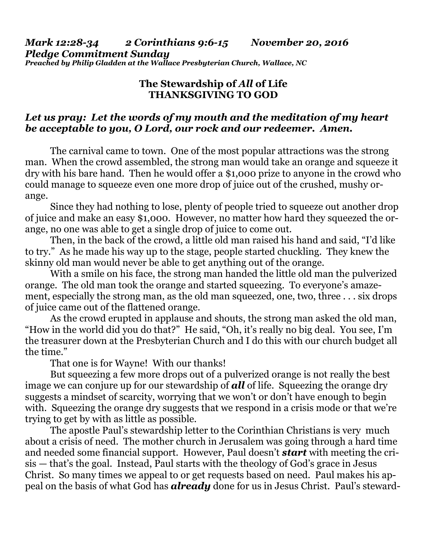## *Mark 12:28-34 2 Corinthians 9:6-15 November 20, 2016 Pledge Commitment Sunday Preached by Philip Gladden at the Wallace Presbyterian Church, Wallace, NC*

## **The Stewardship of** *All* **of Life THANKSGIVING TO GOD**

## *Let us pray: Let the words of my mouth and the meditation of my heart be acceptable to you, O Lord, our rock and our redeemer. Amen.*

The carnival came to town. One of the most popular attractions was the strong man. When the crowd assembled, the strong man would take an orange and squeeze it dry with his bare hand. Then he would offer a \$1,000 prize to anyone in the crowd who could manage to squeeze even one more drop of juice out of the crushed, mushy orange.

 Since they had nothing to lose, plenty of people tried to squeeze out another drop of juice and make an easy \$1,000. However, no matter how hard they squeezed the orange, no one was able to get a single drop of juice to come out.

 Then, in the back of the crowd, a little old man raised his hand and said, "I'd like to try." As he made his way up to the stage, people started chuckling. They knew the skinny old man would never be able to get anything out of the orange.

 With a smile on his face, the strong man handed the little old man the pulverized orange. The old man took the orange and started squeezing. To everyone's amazement, especially the strong man, as the old man squeezed, one, two, three . . . six drops of juice came out of the flattened orange.

 As the crowd erupted in applause and shouts, the strong man asked the old man, "How in the world did you do that?" He said, "Oh, it's really no big deal. You see, I'm the treasurer down at the Presbyterian Church and I do this with our church budget all the time."

That one is for Wayne! With our thanks!

 But squeezing a few more drops out of a pulverized orange is not really the best image we can conjure up for our stewardship of *all* of life. Squeezing the orange dry suggests a mindset of scarcity, worrying that we won't or don't have enough to begin with. Squeezing the orange dry suggests that we respond in a crisis mode or that we're trying to get by with as little as possible.

 The apostle Paul's stewardship letter to the Corinthian Christians is very much about a crisis of need. The mother church in Jerusalem was going through a hard time and needed some financial support. However, Paul doesn't *start* with meeting the crisis — that's the goal. Instead, Paul starts with the theology of God's grace in Jesus Christ. So many times we appeal to or get requests based on need. Paul makes his appeal on the basis of what God has *already* done for us in Jesus Christ. Paul's steward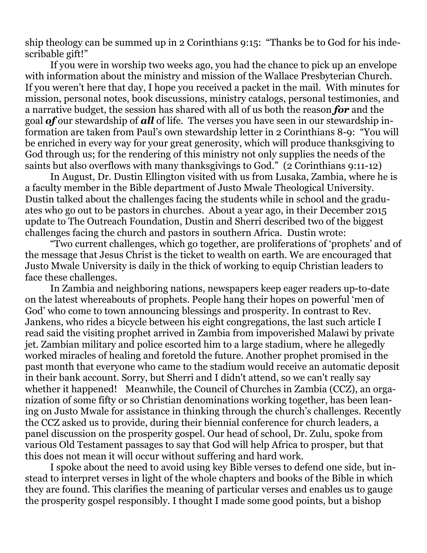ship theology can be summed up in 2 Corinthians 9:15: "Thanks be to God for his indescribable gift!"

 If you were in worship two weeks ago, you had the chance to pick up an envelope with information about the ministry and mission of the Wallace Presbyterian Church. If you weren't here that day, I hope you received a packet in the mail. With minutes for mission, personal notes, book discussions, ministry catalogs, personal testimonies, and a narrative budget, the session has shared with all of us both the reason *for* and the goal *of* our stewardship of *all* of life. The verses you have seen in our stewardship information are taken from Paul's own stewardship letter in 2 Corinthians 8-9: "You will be enriched in every way for your great generosity, which will produce thanksgiving to God through us; for the rendering of this ministry not only supplies the needs of the saints but also overflows with many thanksgivings to God." (2 Corinthians 9:11-12)

 In August, Dr. Dustin Ellington visited with us from Lusaka, Zambia, where he is a faculty member in the Bible department of Justo Mwale Theological University. Dustin talked about the challenges facing the students while in school and the graduates who go out to be pastors in churches. About a year ago, in their December 2015 update to The Outreach Foundation, Dustin and Sherri described two of the biggest challenges facing the church and pastors in southern Africa. Dustin wrote:

 "Two current challenges, which go together, are proliferations of 'prophets' and of the message that Jesus Christ is the ticket to wealth on earth. We are encouraged that Justo Mwale University is daily in the thick of working to equip Christian leaders to face these challenges.

 In Zambia and neighboring nations, newspapers keep eager readers up-to-date on the latest whereabouts of prophets. People hang their hopes on powerful 'men of God' who come to town announcing blessings and prosperity. In contrast to Rev. Jankens, who rides a bicycle between his eight congregations, the last such article I read said the visiting prophet arrived in Zambia from impoverished Malawi by private jet. Zambian military and police escorted him to a large stadium, where he allegedly worked miracles of healing and foretold the future. Another prophet promised in the past month that everyone who came to the stadium would receive an automatic deposit in their bank account. Sorry, but Sherri and I didn't attend, so we can't really say whether it happened! Meanwhile, the Council of Churches in Zambia (CCZ), an organization of some fifty or so Christian denominations working together, has been leaning on Justo Mwale for assistance in thinking through the church's challenges. Recently the CCZ asked us to provide, during their biennial conference for church leaders, a panel discussion on the prosperity gospel. Our head of school, Dr. Zulu, spoke from various Old Testament passages to say that God will help Africa to prosper, but that this does not mean it will occur without suffering and hard work.

 I spoke about the need to avoid using key Bible verses to defend one side, but instead to interpret verses in light of the whole chapters and books of the Bible in which they are found. This clarifies the meaning of particular verses and enables us to gauge the prosperity gospel responsibly. I thought I made some good points, but a bishop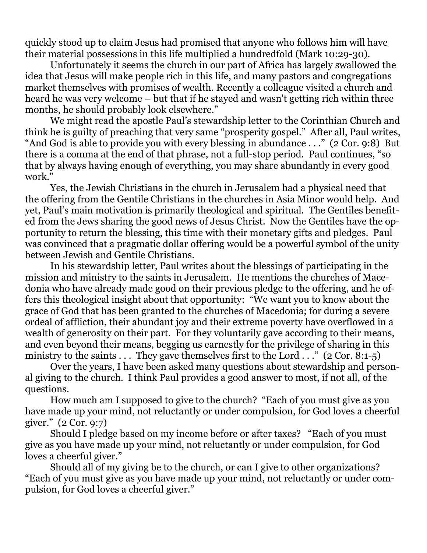quickly stood up to claim Jesus had promised that anyone who follows him will have their material possessions in this life multiplied a hundredfold (Mark 10:29-30).

 Unfortunately it seems the church in our part of Africa has largely swallowed the idea that Jesus will make people rich in this life, and many pastors and congregations market themselves with promises of wealth. Recently a colleague visited a church and heard he was very welcome – but that if he stayed and wasn't getting rich within three months, he should probably look elsewhere."

 We might read the apostle Paul's stewardship letter to the Corinthian Church and think he is guilty of preaching that very same "prosperity gospel." After all, Paul writes, "And God is able to provide you with every blessing in abundance . . ." (2 Cor. 9:8) But there is a comma at the end of that phrase, not a full-stop period. Paul continues, "so that by always having enough of everything, you may share abundantly in every good work."

 Yes, the Jewish Christians in the church in Jerusalem had a physical need that the offering from the Gentile Christians in the churches in Asia Minor would help. And yet, Paul's main motivation is primarily theological and spiritual. The Gentiles benefited from the Jews sharing the good news of Jesus Christ. Now the Gentiles have the opportunity to return the blessing, this time with their monetary gifts and pledges. Paul was convinced that a pragmatic dollar offering would be a powerful symbol of the unity between Jewish and Gentile Christians.

 In his stewardship letter, Paul writes about the blessings of participating in the mission and ministry to the saints in Jerusalem. He mentions the churches of Macedonia who have already made good on their previous pledge to the offering, and he offers this theological insight about that opportunity: "We want you to know about the grace of God that has been granted to the churches of Macedonia; for during a severe ordeal of affliction, their abundant joy and their extreme poverty have overflowed in a wealth of generosity on their part. For they voluntarily gave according to their means, and even beyond their means, begging us earnestly for the privilege of sharing in this ministry to the saints  $\dots$  They gave themselves first to the Lord  $\dots$  " (2 Cor. 8:1-5)

 Over the years, I have been asked many questions about stewardship and personal giving to the church. I think Paul provides a good answer to most, if not all, of the questions.

 How much am I supposed to give to the church? "Each of you must give as you have made up your mind, not reluctantly or under compulsion, for God loves a cheerful giver." (2 Cor. 9:7)

 Should I pledge based on my income before or after taxes? "Each of you must give as you have made up your mind, not reluctantly or under compulsion, for God loves a cheerful giver."

 Should all of my giving be to the church, or can I give to other organizations? "Each of you must give as you have made up your mind, not reluctantly or under compulsion, for God loves a cheerful giver."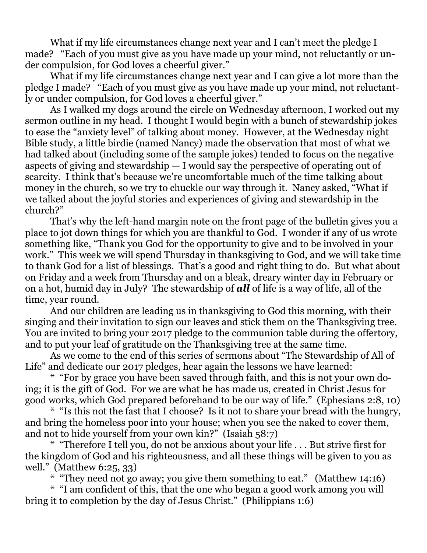What if my life circumstances change next year and I can't meet the pledge I made? "Each of you must give as you have made up your mind, not reluctantly or under compulsion, for God loves a cheerful giver."

What if my life circumstances change next year and I can give a lot more than the pledge I made? "Each of you must give as you have made up your mind, not reluctantly or under compulsion, for God loves a cheerful giver."

 As I walked my dogs around the circle on Wednesday afternoon, I worked out my sermon outline in my head. I thought I would begin with a bunch of stewardship jokes to ease the "anxiety level" of talking about money. However, at the Wednesday night Bible study, a little birdie (named Nancy) made the observation that most of what we had talked about (including some of the sample jokes) tended to focus on the negative aspects of giving and stewardship — I would say the perspective of operating out of scarcity. I think that's because we're uncomfortable much of the time talking about money in the church, so we try to chuckle our way through it. Nancy asked, "What if we talked about the joyful stories and experiences of giving and stewardship in the church?"

 That's why the left-hand margin note on the front page of the bulletin gives you a place to jot down things for which you are thankful to God. I wonder if any of us wrote something like, "Thank you God for the opportunity to give and to be involved in your work." This week we will spend Thursday in thanksgiving to God, and we will take time to thank God for a list of blessings. That's a good and right thing to do. But what about on Friday and a week from Thursday and on a bleak, dreary winter day in February or on a hot, humid day in July? The stewardship of *all* of life is a way of life, all of the time, year round.

 And our children are leading us in thanksgiving to God this morning, with their singing and their invitation to sign our leaves and stick them on the Thanksgiving tree. You are invited to bring your 2017 pledge to the communion table during the offertory, and to put your leaf of gratitude on the Thanksgiving tree at the same time.

 As we come to the end of this series of sermons about "The Stewardship of All of Life" and dedicate our 2017 pledges, hear again the lessons we have learned:

 \* "For by grace you have been saved through faith, and this is not your own doing; it is the gift of God. For we are what he has made us, created in Christ Jesus for good works, which God prepared beforehand to be our way of life." (Ephesians 2:8, 10)

 \* "Is this not the fast that I choose? Is it not to share your bread with the hungry, and bring the homeless poor into your house; when you see the naked to cover them, and not to hide yourself from your own kin?" (Isaiah 58:7)

 \* "Therefore I tell you, do not be anxious about your life . . . But strive first for the kingdom of God and his righteousness, and all these things will be given to you as well." (Matthew 6:25, 33)

\* "They need not go away; you give them something to eat." (Matthew 14:16)

 \* "I am confident of this, that the one who began a good work among you will bring it to completion by the day of Jesus Christ." (Philippians 1:6)